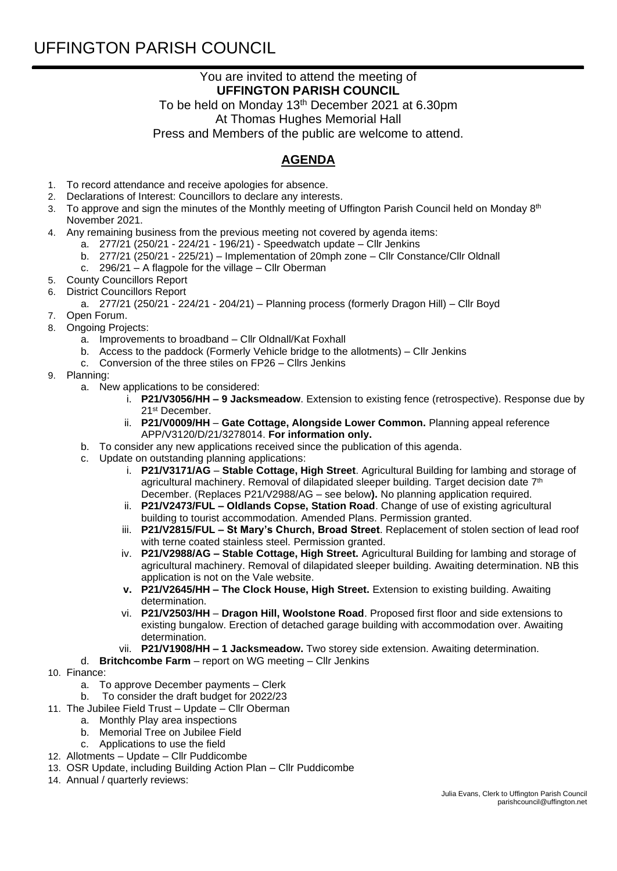## You are invited to attend the meeting of **UFFINGTON PARISH COUNCIL**

To be held on Monday 13<sup>th</sup> December 2021 at 6.30pm At Thomas Hughes Memorial Hall Press and Members of the public are welcome to attend.

## **AGENDA**

- 1. To record attendance and receive apologies for absence.
- 2. Declarations of Interest: Councillors to declare any interests.
- 3.  $\,$  To approve and sign the minutes of the Monthly meeting of Uffington Parish Council held on Monday 8th November 2021.
- 4. Any remaining business from the previous meeting not covered by agenda items:
	- a. 277/21 (250/21 224/21 196/21) Speedwatch update Cllr Jenkins
		- b. 277/21 (250/21 225/21) Implementation of 20mph zone Cllr Constance/Cllr Oldnall
		- c.  $296/21 A$  flagpole for the village Cllr Oberman
- 5. County Councillors Report
- 6. District Councillors Report
	- a. 277/21 (250/21 224/21 204/21) Planning process (formerly Dragon Hill) Cllr Boyd
- 7. Open Forum.
- 8. Ongoing Projects:
	- a. Improvements to broadband Cllr Oldnall/Kat Foxhall
	- b. Access to the paddock (Formerly Vehicle bridge to the allotments) Cllr Jenkins
	- c. Conversion of the three stiles on FP26 Cllrs Jenkins
- 9. Planning:
	- a. New applications to be considered:
		- i. **P21/V3056/HH – 9 Jacksmeadow**. Extension to existing fence (retrospective). Response due by 21st December.
		- ii. **P21/V0009/HH Gate Cottage, Alongside Lower Common.** Planning appeal reference APP/V3120/D/21/3278014. **For information only.**
	- b. To consider any new applications received since the publication of this agenda.
	- c. Update on outstanding planning applications:
		- i. **P21/V3171/AG Stable Cottage, High Street**. Agricultural Building for lambing and storage of agricultural machinery. Removal of dilapidated sleeper building. Target decision date 7<sup>th</sup> December. (Replaces P21/V2988/AG – see below**).** No planning application required.
		- ii. **P21/V2473/FUL – Oldlands Copse, Station Road**. Change of use of existing agricultural building to tourist accommodation. Amended Plans. Permission granted.
		- iii. **P21/V2815/FUL – St Mary's Church, Broad Street**. Replacement of stolen section of lead roof with terne coated stainless steel. Permission granted.
		- iv. **P21/V2988/AG – Stable Cottage, High Street.** Agricultural Building for lambing and storage of agricultural machinery. Removal of dilapidated sleeper building. Awaiting determination. NB this application is not on the Vale website.
		- **v. P21/V2645/HH – The Clock House, High Street.** Extension to existing building. Awaiting determination.
		- vi. **P21/V2503/HH Dragon Hill, Woolstone Road**. Proposed first floor and side extensions to existing bungalow. Erection of detached garage building with accommodation over. Awaiting determination.
		- vii. **P21/V1908/HH – 1 Jacksmeadow.** Two storey side extension. Awaiting determination.
	- d. **Britchcombe Farm**  report on WG meeting Cllr Jenkins
- 10. Finance:
	- a. To approve December payments Clerk
	- b. To consider the draft budget for 2022/23
- 11. The Jubilee Field Trust Update Cllr Oberman
- a. Monthly Play area inspections
	- b. Memorial Tree on Jubilee Field
	- c. Applications to use the field
- 12. Allotments Update Cllr Puddicombe
- 13. OSR Update, including Building Action Plan Cllr Puddicombe
- 14. Annual / quarterly reviews: